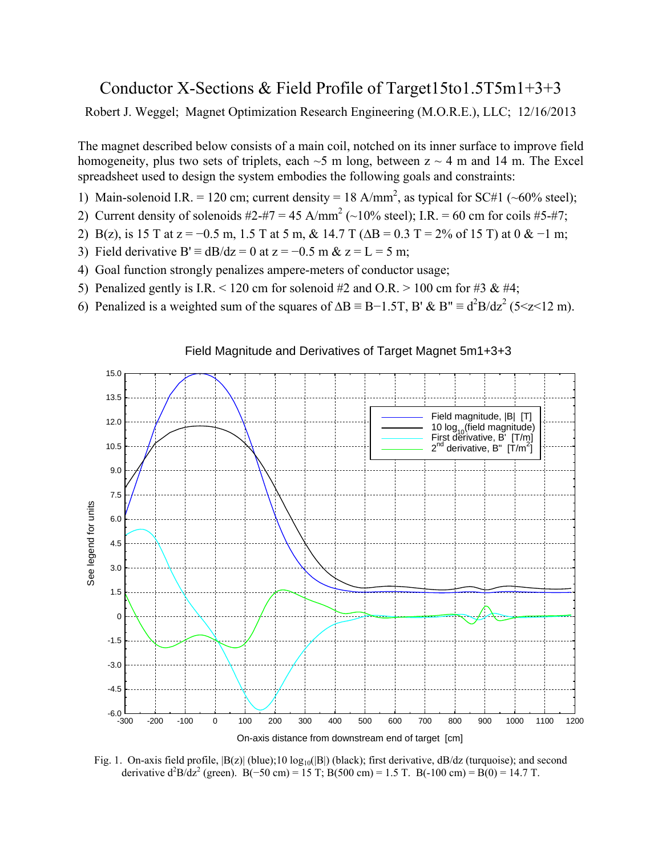## Conductor X-Sections & Field Profile of Target15to1.5T5m1+3+3

Robert J. Weggel; Magnet Optimization Research Engineering (M.O.R.E.), LLC; 12/16/2013

The magnet described below consists of a main coil, notched on its inner surface to improve field homogeneity, plus two sets of triplets, each  $\sim$  5 m long, between z  $\sim$  4 m and 14 m. The Excel spreadsheet used to design the system embodies the following goals and constraints:

- 1) Main-solenoid I.R. = 120 cm; current density = 18 A/mm<sup>2</sup>, as typical for SC#1 (~60% steel);
- 2) Current density of solenoids  $\#2 + \#7 = 45$  A/mm<sup>2</sup> (~10% steel); I.R. = 60 cm for coils  $\#5 + \#7$ ;
- 2) B(z), is 15 T at  $z = -0.5$  m, 1.5 T at 5 m, & 14.7 T ( $\Delta B = 0.3$  T = 2% of 15 T) at 0 & -1 m;
- 3) Field derivative B'  $\equiv$  dB/dz = 0 at z = -0.5 m & z = L = 5 m;
- 4) Goal function strongly penalizes ampere-meters of conductor usage;
- 5) Penalized gently is I.R. < 120 cm for solenoid #2 and O.R. > 100 cm for #3 & #4;
- 6) Penalized is a weighted sum of the squares of  $\Delta B = B 1.5T$ , B' & B"  $\equiv d^2B/dz^2$  (5 < z < 12 m).



## Field Magnitude and Derivatives of Target Magnet 5m1+3+3

Fig. 1. On-axis field profile,  $|B(z)|$  (blue); 10  $\log_{10}(|B|)$  (black); first derivative, dB/dz (turquoise); and second derivative  $d^2B/dz^2$  (green). B(-50 cm) = 15 T; B(500 cm) = 1.5 T. B(-100 cm) = B(0) = 14.7 T.